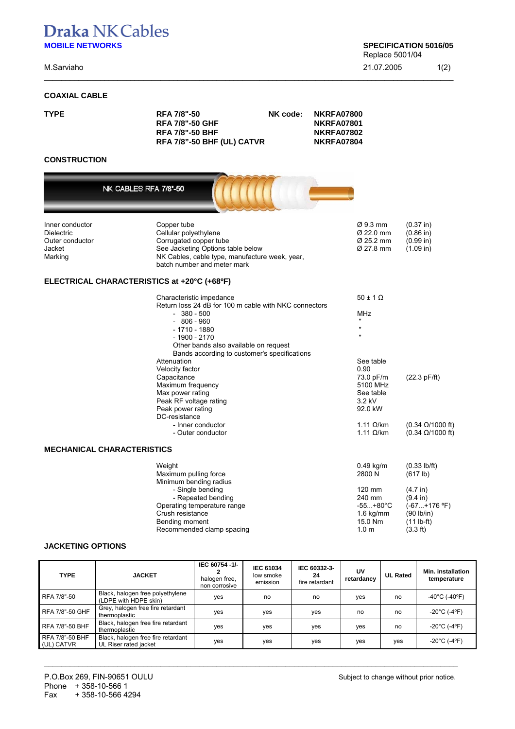# **Draka NK Cables MOBILE NETWORKS** SPECIFICATION 5016/05

NK CABLES RFA 7/8"-50

### **COAXIAL CABLE**

Replace 5001/04

M.Sarviaho 21.07.2005 1(2)

\_\_\_\_\_\_\_\_\_\_\_\_\_\_\_\_\_\_\_\_\_\_\_\_\_\_\_\_\_\_\_\_\_\_\_\_\_\_\_\_\_\_\_\_\_\_\_\_\_\_\_\_\_\_\_\_\_\_\_\_\_\_\_\_\_\_\_\_\_\_\_\_\_\_\_\_\_\_\_\_\_\_\_\_\_\_\_\_\_\_\_\_\_\_\_

| <b>TYPE</b> | <b>RFA 7/8"-50</b>         | NK code: | NKRFA07800        |
|-------------|----------------------------|----------|-------------------|
|             | <b>RFA 7/8"-50 GHF</b>     |          | NKRFA07801        |
|             | <b>RFA 7/8"-50 BHF</b>     |          | <b>NKRFA07802</b> |
|             | RFA 7/8"-50 BHF (UL) CATVR |          | NKRFA07804        |

## **CONSTRUCTION**

| Inner conductor<br>Dielectric<br>Outer conductor<br>Jacket<br>Marking | Copper tube<br>Cellular polyethylene<br>Corrugated copper tube<br>See Jacketing Options table below<br>NK Cables, cable type, manufacture week, year,<br>batch number and meter mark                                                                                                                                                                                                                                                               | $\varnothing$ 9.3 mm<br>$\varnothing$ 22.0 mm<br>Ø 25.2 mm<br>Ø 27.8 mm                                                                                                                              | $(0.37)$ in)<br>$(0.86)$ in)<br>(0.99 in)<br>(1.09 in)                                                                    |
|-----------------------------------------------------------------------|----------------------------------------------------------------------------------------------------------------------------------------------------------------------------------------------------------------------------------------------------------------------------------------------------------------------------------------------------------------------------------------------------------------------------------------------------|------------------------------------------------------------------------------------------------------------------------------------------------------------------------------------------------------|---------------------------------------------------------------------------------------------------------------------------|
| ELECTRICAL CHARACTERISTICS at +20°C (+68ºF)                           |                                                                                                                                                                                                                                                                                                                                                                                                                                                    |                                                                                                                                                                                                      |                                                                                                                           |
|                                                                       | Characteristic impedance<br>Return loss 24 dB for 100 m cable with NKC connectors<br>$-380 - 500$<br>$-806 - 960$<br>$-1710 - 1880$<br>$-1900 - 2170$<br>Other bands also available on request<br>Bands according to customer's specifications<br>Attenuation<br>Velocity factor<br>Capacitance<br>Maximum frequency<br>Max power rating<br>Peak RF voltage rating<br>Peak power rating<br>DC-resistance<br>- Inner conductor<br>- Outer conductor | $50 \pm 1$ $\Omega$<br>MHz<br>$\mathbf{u}$<br>$\mathbf{u}$<br>$\mathbf{u}$<br>See table<br>0.90<br>73.0 pF/m<br>5100 MHz<br>See table<br>3.2 kV<br>92.0 kW<br>1.11 $\Omega$ /km<br>1.11 $\Omega$ /km | (22.3 pF/ft)<br>$(0.34 \Omega/1000 \text{ ft})$<br>$(0.34 \Omega/1000 \text{ ft})$                                        |
| <b>MECHANICAL CHARACTERISTICS</b>                                     |                                                                                                                                                                                                                                                                                                                                                                                                                                                    |                                                                                                                                                                                                      |                                                                                                                           |
|                                                                       | Weight<br>Maximum pulling force<br>Minimum bending radius<br>- Single bending<br>- Repeated bending<br>Operating temperature range<br>Crush resistance<br>Bending moment<br>Recommended clamp spacing                                                                                                                                                                                                                                              | $0.49$ kg/m<br>2800 N<br>120 mm<br>240 mm<br>$-55+80^{\circ}C$<br>$1.6$ kg/mm<br>15.0 Nm<br>1.0 <sub>m</sub>                                                                                         | $(0.33$ lb/ft)<br>(617 lb)<br>(4.7 in)<br>$(9.4 \text{ in})$<br>$(-67+176$ °F)<br>(90 lb/in)<br>$(11 lb-fit)$<br>(3.3 ft) |
|                                                                       |                                                                                                                                                                                                                                                                                                                                                                                                                                                    |                                                                                                                                                                                                      |                                                                                                                           |

#### **JACKETING OPTIONS**

| <b>TYPE</b>                   | <b>JACKET</b>                                               | IEC 60754 -1/-<br>halogen free,<br>non corrosive | <b>IEC 61034</b><br>low smoke<br>emission | IEC 60332-3-<br>24<br>fire retardant | UV<br>retardancv | <b>UL Rated</b> | Min. installation<br>temperature  |
|-------------------------------|-------------------------------------------------------------|--------------------------------------------------|-------------------------------------------|--------------------------------------|------------------|-----------------|-----------------------------------|
| RFA 7/8"-50                   | Black, halogen free polyethylene<br>(LDPE with HDPE skin)   | yes                                              | no                                        | no                                   | yes              | no              | $-40^{\circ}$ C (-40°F)           |
| RFA 7/8"-50 GHF               | Grey, halogen free fire retardant<br>thermoplastic          | yes                                              | ves                                       | ves                                  | no               | no              | $-20^{\circ}$ C (-4 $^{\circ}$ F) |
| <b>RFA 7/8"-50 BHF</b>        | Black, halogen free fire retardant<br>thermoplastic         | yes                                              | yes                                       | ves                                  | yes              | no              | $-20^{\circ}$ C (-4°F)            |
| RFA 7/8"-50 BHF<br>(UL) CATVR | Black, halogen free fire retardant<br>UL Riser rated jacket | yes                                              | yes                                       | ves                                  | yes              | ves             | $-20^{\circ}$ C (-4 $^{\circ}$ F) |

\_\_\_\_\_\_\_\_\_\_\_\_\_\_\_\_\_\_\_\_\_\_\_\_\_\_\_\_\_\_\_\_\_\_\_\_\_\_\_\_\_\_\_\_\_\_\_\_\_\_\_\_\_\_\_\_\_\_\_\_\_\_\_\_\_\_\_\_\_\_\_\_\_\_\_\_\_\_\_\_\_\_\_\_\_\_\_\_\_\_\_\_\_\_\_\_